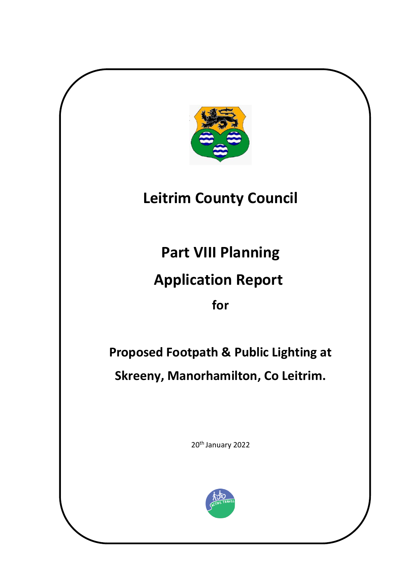

# **Leitrim County Council**

**Part VIII Planning** 

## **Application Report**

**for**

**Proposed Footpath & Public Lighting at Skreeny, Manorhamilton, Co Leitrim.**

20<sup>th</sup> January 2022

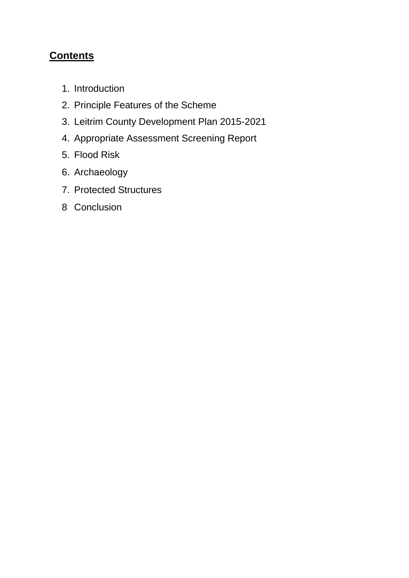### **Contents**

- 1. Introduction
- 2. Principle Features of the Scheme
- 3. Leitrim County Development Plan 2015-2021
- 4. Appropriate Assessment Screening Report
- 5. Flood Risk
- 6. Archaeology
- 7. Protected Structures
- 8 Conclusion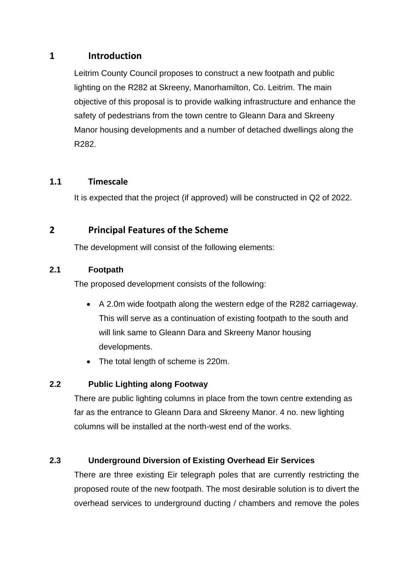#### **1 Introduction**

Leitrim County Council proposes to construct a new footpath and public lighting on the R282 at Skreeny, Manorhamilton, Co. Leitrim. The main objective of this proposal is to provide walking infrastructure and enhance the safety of pedestrians from the town centre to Gleann Dara and Skreeny Manor housing developments and a number of detached dwellings along the R282.

#### **1.1 Timescale**

It is expected that the project (if approved) will be constructed in Q2 of 2022.

#### **2 Principal Features of the Scheme**

The development will consist of the following elements:

#### **2.1 Footpath**

The proposed development consists of the following:

- A 2.0m wide footpath along the western edge of the R282 carriageway. This will serve as a continuation of existing footpath to the south and will link same to Gleann Dara and Skreeny Manor housing developments.
- The total length of scheme is 220m.

#### **2.2 Public Lighting along Footway**

There are public lighting columns in place from the town centre extending as far as the entrance to Gleann Dara and Skreeny Manor. 4 no. new lighting columns will be installed at the north-west end of the works.

#### **2.3 Underground Diversion of Existing Overhead Eir Services**

There are three existing Eir telegraph poles that are currently restricting the proposed route of the new footpath. The most desirable solution is to divert the overhead services to underground ducting / chambers and remove the poles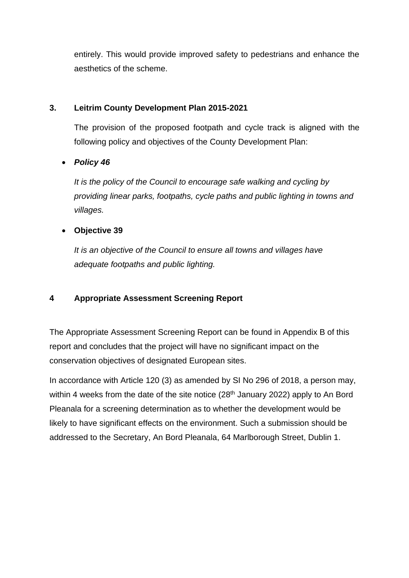entirely. This would provide improved safety to pedestrians and enhance the aesthetics of the scheme.

#### **3. Leitrim County Development Plan 2015-2021**

The provision of the proposed footpath and cycle track is aligned with the following policy and objectives of the County Development Plan:

#### • *Policy 46*

*It is the policy of the Council to encourage safe walking and cycling by providing linear parks, footpaths, cycle paths and public lighting in towns and villages.*

#### • **Objective 39**

*It is an objective of the Council to ensure all towns and villages have adequate footpaths and public lighting.*

#### **4 Appropriate Assessment Screening Report**

The Appropriate Assessment Screening Report can be found in Appendix B of this report and concludes that the project will have no significant impact on the conservation objectives of designated European sites.

In accordance with Article 120 (3) as amended by SI No 296 of 2018, a person may, within 4 weeks from the date of the site notice  $(28<sup>th</sup>$  January 2022) apply to An Bord Pleanala for a screening determination as to whether the development would be likely to have significant effects on the environment. Such a submission should be addressed to the Secretary, An Bord Pleanala, 64 Marlborough Street, Dublin 1.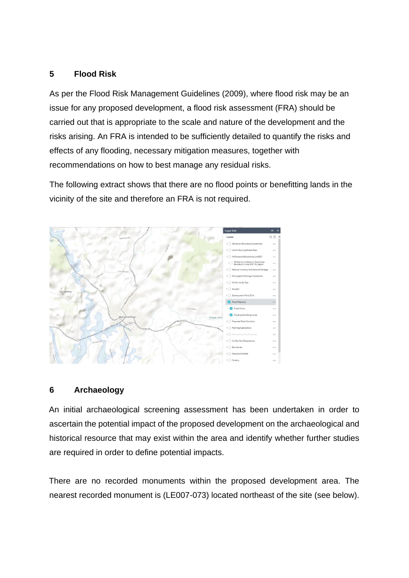#### **5 Flood Risk**

As per the Flood Risk Management Guidelines (2009), where flood risk may be an issue for any proposed development, a flood risk assessment (FRA) should be carried out that is appropriate to the scale and nature of the development and the risks arising. An FRA is intended to be sufficiently detailed to quantify the risks and effects of any flooding, necessary mitigation measures, together with recommendations on how to best manage any residual risks.

The following extract shows that there are no flood points or benefitting lands in the vicinity of the site and therefore an FRA is not required.



#### **6 Archaeology**

An initial archaeological screening assessment has been undertaken in order to ascertain the potential impact of the proposed development on the archaeological and historical resource that may exist within the area and identify whether further studies are required in order to define potential impacts.

There are no recorded monuments within the proposed development area. The nearest recorded monument is (LE007-073) located northeast of the site (see below).